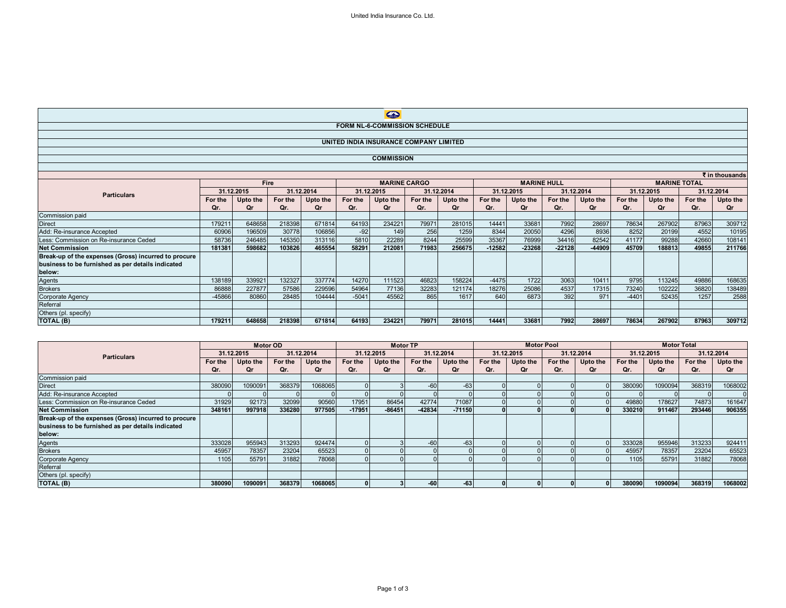$\mathbf{r}$ 

|                                                      | $\leftrightarrow$ |          |         |            |         |                     |         |            |          |                    |          |            |                     |          |            |          |
|------------------------------------------------------|-------------------|----------|---------|------------|---------|---------------------|---------|------------|----------|--------------------|----------|------------|---------------------|----------|------------|----------|
| FORM NL-6-COMMISSION SCHEDULE                        |                   |          |         |            |         |                     |         |            |          |                    |          |            |                     |          |            |          |
|                                                      |                   |          |         |            |         |                     |         |            |          |                    |          |            |                     |          |            |          |
| UNITED INDIA INSURANCE COMPANY LIMITED               |                   |          |         |            |         |                     |         |            |          |                    |          |            |                     |          |            |          |
|                                                      |                   |          |         |            |         |                     |         |            |          |                    |          |            |                     |          |            |          |
| <b>COMMISSION</b>                                    |                   |          |         |            |         |                     |         |            |          |                    |          |            |                     |          |            |          |
|                                                      |                   |          |         |            |         |                     |         |            |          |                    |          |            |                     |          |            |          |
| ₹ in thousands                                       |                   |          |         |            |         |                     |         |            |          |                    |          |            |                     |          |            |          |
|                                                      |                   | Fire     |         |            |         | <b>MARINE CARGO</b> |         |            |          | <b>MARINE HULL</b> |          |            | <b>MARINE TOTAL</b> |          |            |          |
| <b>Particulars</b>                                   | 31.12.2015        |          |         | 31.12.2014 |         | 31.12.2015          |         | 31.12.2014 |          | 31.12.2015         |          | 31.12.2014 | 31.12.2015          |          | 31.12.2014 |          |
|                                                      | For the           | Upto the | For the | Upto the   | For the | Upto the            | For the | Upto the   | For the  | Upto the           | For the  | Upto the   | For the             | Upto the | For the    | Upto the |
|                                                      | Qr.               | 0r       | Qr.     | Ωr         | Qr.     | Οr                  | Qr.     | Or         | Or.      | 0r                 | Qr.      | Or         | Qr.                 | Ωr       | Qr.        | Qr       |
| Commission paid                                      |                   |          |         |            |         |                     |         |            |          |                    |          |            |                     |          |            |          |
| <b>Direct</b>                                        | 179211            | 648658   | 218398  | 671814     | 64193   | 234221              | 79971   | 281015     | 14441    | 33681              | 7992     | 28697      | 78634               | 267902   | 87963      | 309712   |
| Add: Re-insurance Accepted                           | 60906             | 196509   | 30778   | 106856     | $-92$   | 149                 | 256     | 1259       | 8344     | 20050              | 4296     | 8936       | 8252                | 20199    | 4552       | 10195    |
| Less: Commission on Re-insurance Ceded               | 58736             | 246485   | 145350  | 313116     | 5810    | 22289               | 8244    | 25599      | 35367    | 76999              | 34416    | 82542      | 41177               | 99288    | 42660      | 108141   |
| <b>Net Commission</b>                                | 181381            | 598682   | 103826  | 465554     | 58291   | 212081              | 71983   | 256675     | $-12582$ | $-23268$           | $-22128$ | -44909     | 45709               | 188813   | 49855      | 211766   |
| Break-up of the expenses (Gross) incurred to procure |                   |          |         |            |         |                     |         |            |          |                    |          |            |                     |          |            |          |
| business to be furnished as per details indicated    |                   |          |         |            |         |                     |         |            |          |                    |          |            |                     |          |            |          |
| below:                                               |                   |          |         |            |         |                     |         |            |          |                    |          |            |                     |          |            |          |
| Agents<br>Brokers                                    | 138189            | 339921   | 132327  | 337774     | 14270   | 111523              | 46823   | 158224     | $-4475$  | 1722               | 3063     | 10411      | 9795                | 113245   | 49886      | 168635   |
|                                                      | 86888             | 227877   | 57586   | 229596     | 54964   | 77136               | 32283   | 121174     | 18276    | 25086              | 4537     | 17315      | 73240               | 102222   | 36820      | 138489   |
| Corporate Agency                                     | -45866            | 80860    | 28485   | 104444     | $-5041$ | 45562               | 865     | 1617       | 640      | 6873               | 392      | 971        | $-4401$             | 52435    | 1257       | 2588     |
| Referral                                             |                   |          |         |            |         |                     |         |            |          |                    |          |            |                     |          |            |          |
| Others (pl. specify)                                 |                   |          |         |            |         |                     |         |            |          |                    |          |            |                     |          |            |          |
| TOTAL (B)                                            | 179211            | 648658   | 218398  | 671814     | 64193   | 234221              | 79971   | 281015     | 14441    | 33681              | 7992     | 28697      | 78634               | 267902   | 87963      | 309712   |

|                                                      | <b>Motor OD</b> |          |            |          | <b>Motor TP</b>          |          |          |            | <b>Motor Pool</b> |            |         | <b>Motor Total</b> |         |            |         |          |
|------------------------------------------------------|-----------------|----------|------------|----------|--------------------------|----------|----------|------------|-------------------|------------|---------|--------------------|---------|------------|---------|----------|
| <b>Particulars</b>                                   | 31.12.2015      |          | 31.12.2014 |          | 31.12.2014<br>31.12.2015 |          |          | 31.12.2015 |                   | 31.12.2014 |         | 31.12.2015         |         | 31.12.2014 |         |          |
|                                                      | For the         | Upto the | For the    | Upto the | For the                  | Upto the | For the  | Upto the   | For the           | Upto the   | For the | Upto the           | For the | Upto the   | For the | Upto the |
|                                                      | Qr.             | Or       | Or.        | Or       | Qr.                      | Or       | Qr.      | Qr         | Qr.               | Or         | Qr.     | Qr                 | Qr.     | Or         | Qr.     | Qr       |
| Commission paid                                      |                 |          |            |          |                          |          |          |            |                   |            |         |                    |         |            |         |          |
| <b>Direct</b>                                        | 380090          | 1090091  | 368379     | 1068065  |                          |          | $-60$    | $-63$      |                   |            |         |                    | 380090  | 1090094    | 368319  | 1068002  |
| Add: Re-insurance Accepted                           |                 |          |            |          |                          |          |          |            |                   |            |         |                    |         |            |         |          |
| Less: Commission on Re-insurance Ceded               | 31929           | 92173    | 32099      | 90560    | 17951                    | 86454    | 42774    | 71087      |                   |            |         |                    | 49880   | 178627     | 74873   | 161647   |
| <b>Net Commission</b>                                | 348161          | 997918   | 336280     | 977505   | $-17951$                 | $-86451$ | $-42834$ | $-71150$   |                   |            |         |                    | 330210  | 911467     | 293446  | 906355   |
| Break-up of the expenses (Gross) incurred to procure |                 |          |            |          |                          |          |          |            |                   |            |         |                    |         |            |         |          |
| business to be furnished as per details indicated    |                 |          |            |          |                          |          |          |            |                   |            |         |                    |         |            |         |          |
| below:                                               |                 |          |            |          |                          |          |          |            |                   |            |         |                    |         |            |         |          |
| Agents                                               | 333028          | 955943   | 313293     | 924474   |                          |          | $-60$    | $-63$      |                   |            |         |                    | 333028  | 955946     | 313233  | 924411   |
| <b>Brokers</b>                                       | 45957           | 78357    | 23204      | 65523    |                          |          |          |            |                   |            |         |                    | 45957   | 78357      | 23204   | 65523    |
| Corporate Agency                                     | 1105            | 55791    | 31882      | 78068    |                          |          |          |            |                   |            |         |                    | 1105    | 55791      | 31882   | 78068    |
| Referral                                             |                 |          |            |          |                          |          |          |            |                   |            |         |                    |         |            |         |          |
| Others (pl. specify)                                 |                 |          |            |          |                          |          |          |            |                   |            |         |                    |         |            |         |          |
| TOTAL (B)                                            | 380090          | 1090091  | 368379     | 1068065  |                          |          | -60      | $-63$      |                   |            |         |                    | 380090  | 1090094    | 368319  | 1068002  |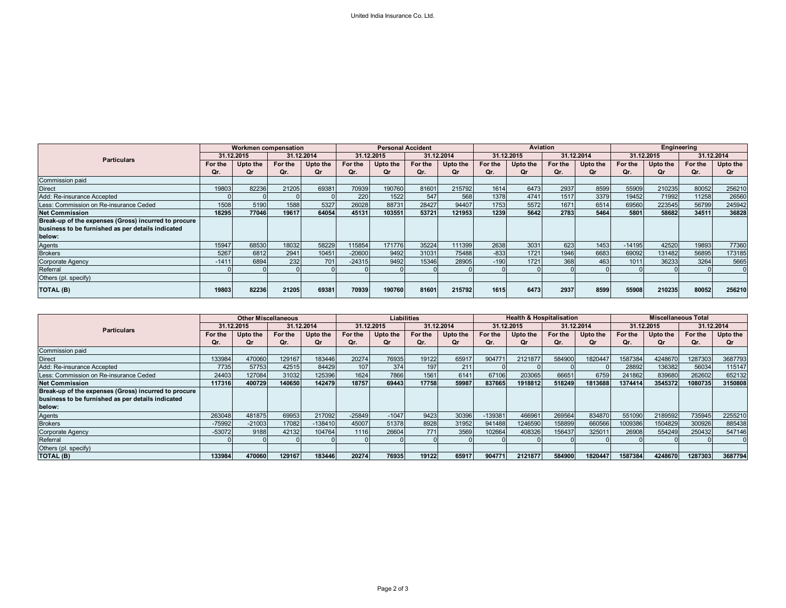|                                                      | Workmen compensation |          |            |          | <b>Personal Accident</b> |           |            |          | Aviation   |          |            |          | Engineering |          |         |            |
|------------------------------------------------------|----------------------|----------|------------|----------|--------------------------|-----------|------------|----------|------------|----------|------------|----------|-------------|----------|---------|------------|
| <b>Particulars</b>                                   | 31.12.2015           |          | 31.12.2014 |          | 31.12.2015               |           | 31.12.2014 |          | 31.12.2015 |          | 31.12.2014 |          | 31.12.2015  |          |         | 31.12.2014 |
|                                                      | For the              | Upto the | For the    | Upto the | For the                  | Upto the  | For the    | Upto the | For the    | Upto the | For the    | Upto the | For the     | Upto the | For the | Upto the   |
|                                                      | Qr.                  | Qr       | Qr.        | Qr       | Qr.                      | <b>Or</b> | Qr.        | Οr       | Qr.        | Οr       | Qr.        | Qr       | Qr.         | Οr       | Qr.     | Qr         |
| Commission paid                                      |                      |          |            |          |                          |           |            |          |            |          |            |          |             |          |         |            |
| <b>Direct</b>                                        | 19803                | 82236    | 21205      | 69381    | 70939                    | 190760    | 81601      | 215792   | 1614       | 6473     | 2937       | 8599     | 55909       | 210235   | 80052   | 256210     |
| Add: Re-insurance Accepted                           |                      |          |            |          | 220                      | 1522      | 547        | 568      | 1378       | 4741     | 1517       | 3379     | 19452       | 71992    | 11258   | 26560      |
| Less: Commission on Re-insurance Ceded               | 1508                 | 5190     | 1588       | 5327     | 26028                    | 88731     | 28427      | 94407    | 1753       | 5572     | 1671       | 6514     | 69560       | 223545   | 56799   | 245942     |
| <b>Net Commission</b>                                | 18295                | 77046    | 19617      | 64054    | 45131                    | 103551    | 53721      | 121953   | 1239       | 5642     | 2783       | 5464     | 5801        | 58682    | 34511   | 36828      |
| Break-up of the expenses (Gross) incurred to procure |                      |          |            |          |                          |           |            |          |            |          |            |          |             |          |         |            |
| business to be furnished as per details indicated    |                      |          |            |          |                          |           |            |          |            |          |            |          |             |          |         |            |
| below:                                               |                      |          |            |          |                          |           |            |          |            |          |            |          |             |          |         |            |
| Agents                                               | 15947                | 68530    | 18032      | 58229    | 115854                   | 171776    | 35224      | 111399   | 2638       | 3031     | 623        | 1453     | $-14195$    | 42520    | 19893   | 77360      |
| <b>Brokers</b>                                       | 5267                 | 6812     | 2941       | 10451    | $-20600$                 | 9492      | 31031      | 75488    | $-833$     | 1721     | 1946       | 6683     | 69092       | 131482   | 56895   | 173185     |
| Corporate Agency                                     | $-141$               | 6894     | 232        | 701      | $-24315$                 | 9492      | 15346      | 28905    | $-190$     | 1721     | 368        | 463      | 1011        | 36233    | 3264    | 5665       |
| Referral                                             |                      |          |            |          |                          |           |            |          |            |          |            |          |             |          |         |            |
| Others (pl. specify)                                 |                      |          |            |          |                          |           |            |          |            |          |            |          |             |          |         |            |
| <b>TOTAL (B)</b>                                     | 19803                | 82236    | 21205      | 69381    | 70939                    | 190760    | 81601      | 215792   | 1615       | 6473     | 2937       | 8599     | 55908       | 210235   | 80052   | 256210     |

|                                                      | <b>Other Miscellaneous</b> |          |         | <b>Liabilities</b> |          |            |         |            | <b>Health &amp; Hospitalisation</b> |            |         | <b>Miscellaneous Total</b> |         |            |         |            |
|------------------------------------------------------|----------------------------|----------|---------|--------------------|----------|------------|---------|------------|-------------------------------------|------------|---------|----------------------------|---------|------------|---------|------------|
| <b>Particulars</b>                                   | 31.12.2015                 |          |         | 31.12.2014         |          | 31.12.2015 |         | 31.12.2014 |                                     | 31.12.2015 |         | 31.12.2014                 |         | 31.12.2015 |         | 31.12.2014 |
|                                                      | For the                    | Upto the | For the | Upto the           | For the  | Upto the   | For the | Upto the   | For the                             | Upto the   | For the | Upto the                   | For the | Upto the   | For the | Upto the   |
|                                                      | Or.                        | Or       | Qr.     |                    | Or.      | Or         | Qr.     | Оr         | Or.                                 | 0r         | Qr.     | Qr                         | Qr.     |            | Qr.     | Or         |
| Commission paid                                      |                            |          |         |                    |          |            |         |            |                                     |            |         |                            |         |            |         |            |
| <b>Direct</b>                                        | 133984                     | 470060   | 129167  | 183446             | 20274    | 76935      | 19122   | 65917      | 904771                              | 2121877    | 584900  | 1820447                    | 1587384 | 4248670    | 1287303 | 3687793    |
| Add: Re-insurance Accepted                           | 7735                       | 57753    | 42515   | 84429              | 107      | 374        | 197     | 211        |                                     |            |         |                            | 28892   | 136382     | 56034   | 115147     |
| Less: Commission on Re-insurance Ceded               | 24403                      | 127084   | 31032   | 125396             | 1624     | 7866       | 1561    | 6141       | 67106                               | 203065     | 66651   | 6759                       | 241862  | 839680     | 262602  | 652132     |
| <b>Net Commission</b>                                | 117316                     | 400729   | 140650  | 142479             | 18757    | 69443      | 17758   | 59987      | 837665                              | 1918812    | 518249  | 1813688                    | 1374414 | 3545372    | 1080735 | 3150808    |
| Break-up of the expenses (Gross) incurred to procure |                            |          |         |                    |          |            |         |            |                                     |            |         |                            |         |            |         |            |
| business to be furnished as per details indicated    |                            |          |         |                    |          |            |         |            |                                     |            |         |                            |         |            |         |            |
| below:                                               |                            |          |         |                    |          |            |         |            |                                     |            |         |                            |         |            |         |            |
| Agents                                               | 263048                     | 481875   | 69953   | 217092             | $-25849$ | $-1047$    | 9423    | 30396      | $-139381$                           | 466961     | 269564  | 834870                     | 551090  | 2189592    | 735945  | 2255210    |
| <b>Brokers</b>                                       | $-75992$                   | $-21003$ | 17082   | $-138410$          | 45007    | 51378      | 8928    | 31952      | 941488                              | 1246590    | 158899  | 660566                     | 1009386 | 1504829    | 300926  | 885438     |
| <b>Corporate Agency</b>                              | $-53072$                   | 9188     | 42132   | 104764             | 1116     | 26604      | 771     | 3569       | 102664                              | 408326     | 156437  | 325011                     | 26908   | 554249     | 250432  | 547146     |
| Referral                                             |                            |          |         |                    |          |            |         |            |                                     |            |         |                            |         |            |         |            |
| Others (pl. specify)                                 |                            |          |         |                    |          |            |         |            |                                     |            |         |                            |         |            |         |            |
| TOTAL (B)                                            | 133984                     | 470060   | 129167  | 183446             | 20274    | 76935      | 19122   | 65917      | 90477                               | 2121877    | 584900  | 1820447                    | 1587384 | 4248670    | 1287303 | 3687794    |